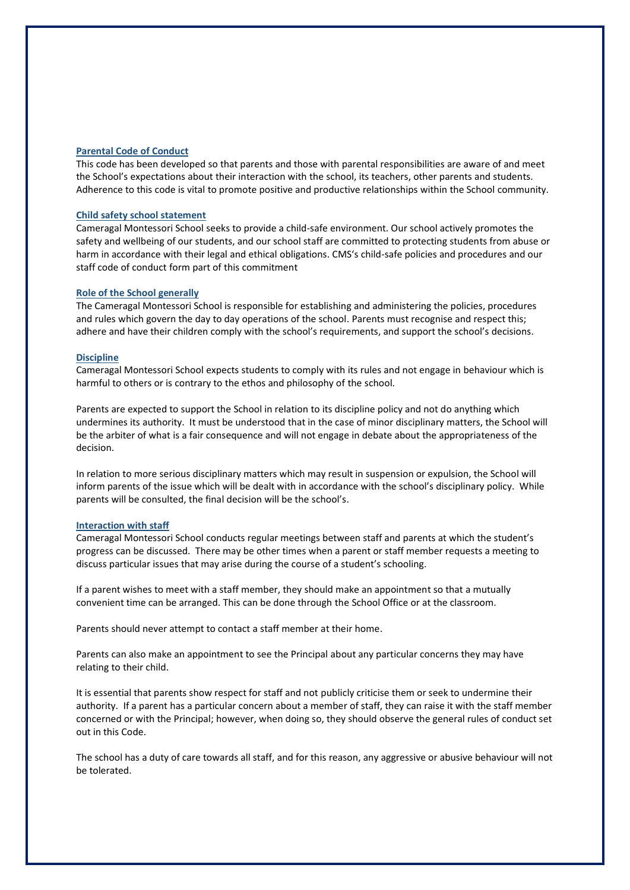# **Parental Code of Conduct**

This code has been developed so that parents and those with parental responsibilities are aware of and meet the School's expectations about their interaction with the school, its teachers, other parents and students. Adherence to this code is vital to promote positive and productive relationships within the School community.

## **Child safety school statement**

Cameragal Montessori School seeks to provide a child-safe environment. Our school actively promotes the safety and wellbeing of our students, and our school staff are committed to protecting students from abuse or harm in accordance with their legal and ethical obligations. CMS's child-safe policies and procedures and our staff code of conduct form part of this commitment

# **Role of the School generally**

The Cameragal Montessori School is responsible for establishing and administering the policies, procedures and rules which govern the day to day operations of the school. Parents must recognise and respect this; adhere and have their children comply with the school's requirements, and support the school's decisions.

#### **Discipline**

Cameragal Montessori School expects students to comply with its rules and not engage in behaviour which is harmful to others or is contrary to the ethos and philosophy of the school.

Parents are expected to support the School in relation to its discipline policy and not do anything which undermines its authority. It must be understood that in the case of minor disciplinary matters, the School will be the arbiter of what is a fair consequence and will not engage in debate about the appropriateness of the decision.

In relation to more serious disciplinary matters which may result in suspension or expulsion, the School will inform parents of the issue which will be dealt with in accordance with the school's disciplinary policy. While parents will be consulted, the final decision will be the school's.

### **Interaction with staff**

Cameragal Montessori School conducts regular meetings between staff and parents at which the student's progress can be discussed. There may be other times when a parent or staff member requests a meeting to discuss particular issues that may arise during the course of a student's schooling.

If a parent wishes to meet with a staff member, they should make an appointment so that a mutually convenient time can be arranged. This can be done through the School Office or at the classroom.

Parents should never attempt to contact a staff member at their home.

Parents can also make an appointment to see the Principal about any particular concerns they may have relating to their child.

It is essential that parents show respect for staff and not publicly criticise them or seek to undermine their authority. If a parent has a particular concern about a member of staff, they can raise it with the staff member concerned or with the Principal; however, when doing so, they should observe the general rules of conduct set out in this Code.

The school has a duty of care towards all staff, and for this reason, any aggressive or abusive behaviour will not be tolerated.